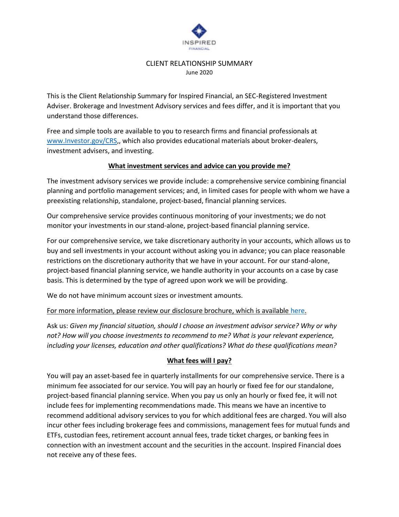

#### CLIENT RELATIONSHIP SUMMARY June 2020

This is the Client Relationship Summary for Inspired Financial, an SEC-Registered Investment Adviser. Brokerage and Investment Advisory services and fees differ, and it is important that you understand those differences.

Free and simple tools are available to you to research firms and financial professionals at [www.Investor.gov/CRS,](http://www.investor.gov/CRS), which also provides educational materials about broker-dealers, investment advisers, and investing.

## **What investment services and advice can you provide me?**

The investment advisory services we provide include: a comprehensive service combining financial planning and portfolio management services; and, in limited cases for people with whom we have a preexisting relationship, standalone, project-based, financial planning services.

Our comprehensive service provides continuous monitoring of your investments; we do not monitor your investments in our stand-alone, project-based financial planning service.

For our comprehensive service, we take discretionary authority in your accounts, which allows us to buy and sell investments in your account without asking you in advance; you can place reasonable restrictions on the discretionary authority that we have in your account. For our stand-alone, project-based financial planning service, we handle authority in your accounts on a case by case basis. This is determined by the type of agreed upon work we will be providing.

We do not have minimum account sizes or investment amounts.

For more information, please review our disclosure brochure, which is available [here.](https://www.inspiredfinancial.biz/wp-content/uploads/2020/03/IF-ADV-2A2B-Combined-2020-03-05.pdf)

Ask us: *Given my financial situation, should I choose an investment advisor service? Why or why not? How will you choose investments to recommend to me? What is your relevant experience, including your licenses, education and other qualifications? What do these qualifications mean?*

# **What fees will I pay?**

You will pay an asset-based fee in quarterly installments for our comprehensive service. There is a minimum fee associated for our service. You will pay an hourly or fixed fee for our standalone, project-based financial planning service. When you pay us only an hourly or fixed fee, it will not include fees for implementing recommendations made. This means we have an incentive to recommend additional advisory services to you for which additional fees are charged. You will also incur other fees including brokerage fees and commissions, management fees for mutual funds and ETFs, custodian fees, retirement account annual fees, trade ticket charges, or banking fees in connection with an investment account and the securities in the account. Inspired Financial does not receive any of these fees.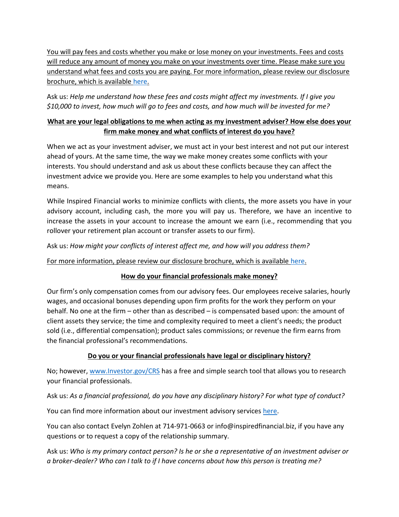You will pay fees and costs whether you make or lose money on your investments. Fees and costs will reduce any amount of money you make on your investments over time. Please make sure you understand what fees and costs you are paying. For more information, please review our disclosure brochure, which is available [here.](https://www.inspiredfinancial.biz/wp-content/uploads/2020/03/IF-ADV-2A2B-Combined-2020-03-05.pdf)

Ask us: *Help me understand how these fees and costs might affect my investments. If I give you \$10,000 to invest, how much will go to fees and costs, and how much will be invested for me?*

# **What are your legal obligations to me when acting as my investment adviser? How else does your firm make money and what conflicts of interest do you have?**

When we act as your investment adviser, we must act in your best interest and not put our interest ahead of yours. At the same time, the way we make money creates some conflicts with your interests. You should understand and ask us about these conflicts because they can affect the investment advice we provide you. Here are some examples to help you understand what this means.

While Inspired Financial works to minimize conflicts with clients, the more assets you have in your advisory account, including cash, the more you will pay us. Therefore, we have an incentive to increase the assets in your account to increase the amount we earn (i.e., recommending that you rollover your retirement plan account or transfer assets to our firm).

Ask us: *How might your conflicts of interest affect me, and how will you address them?*

For more information, please review our disclosure brochure, which is available [here.](https://www.inspiredfinancial.biz/wp-content/uploads/2020/03/IF-ADV-2A2B-Combined-2020-03-05.pdf)

# **How do your financial professionals make money?**

Our firm's only compensation comes from our advisory fees. Our employees receive salaries, hourly wages, and occasional bonuses depending upon firm profits for the work they perform on your behalf. No one at the firm – other than as described – is compensated based upon: the amount of client assets they service; the time and complexity required to meet a client's needs; the product sold (i.e., differential compensation); product sales commissions; or revenue the firm earns from the financial professional's recommendations.

# **Do you or your financial professionals have legal or disciplinary history?**

No; however[, www.Investor.gov/CRS](http://www.investor.gov/CRS) has a free and simple search tool that allows you to research your financial professionals.

Ask us: *As a financial professional, do you have any disciplinary history? For what type of conduct?* 

You can find more information about our investment advisory services [here.](https://www.inspiredfinancial.biz/wp-content/uploads/2020/03/IF-ADV-2A2B-Combined-2020-03-05.pdf)

You can also contact Evelyn Zohlen at 714-971-0663 or info@inspiredfinancial.biz, if you have any questions or to request a copy of the relationship summary.

Ask us: *Who is my primary contact person? Is he or she a representative of an investment adviser or a broker-dealer? Who can I talk to if I have concerns about how this person is treating me?*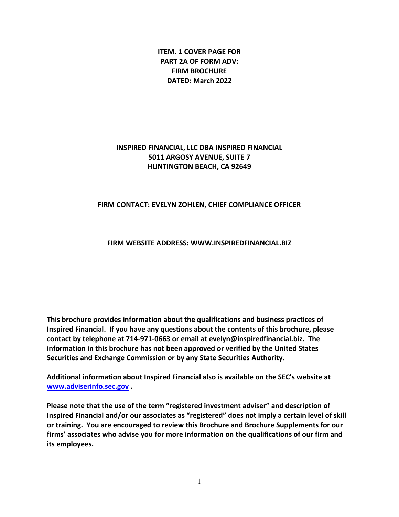**ITEM. 1 COVER PAGE FOR PART 2A OF FORM ADV: FIRM BROCHURE DATED: March 2022** 

# **INSPIRED FINANCIAL, LLC DBA INSPIRED FINANCIAL 5011 ARGOSY AVENUE, SUITE 7 HUNTINGTON BEACH, CA 92649**

### **FIRM CONTACT: EVELYN ZOHLEN, CHIEF COMPLIANCE OFFICER**

#### **FIRM WEBSITE ADDRESS: WWW.INSPIREDFINANCIAL.BIZ**

**This brochure provides information about the qualifications and business practices of Inspired Financial. If you have any questions about the contents of this brochure, please contact by telephone at 714-971-0663 or email at evelyn@inspiredfinancial.biz. The information in this brochure has not been approved or verified by the United States Securities and Exchange Commission or by any State Securities Authority.** 

**Additional information about Inspired Financial also is available on the SEC's website at [www.adviserinfo.sec.gov](http://www.adviserinfo.sec.gov/) .** 

**Please note that the use of the term "registered investment adviser" and description of Inspired Financial and/or our associates as "registered" does not imply a certain level of skill or training. You are encouraged to review this Brochure and Brochure Supplements for our firms' associates who advise you for more information on the qualifications of our firm and its employees.**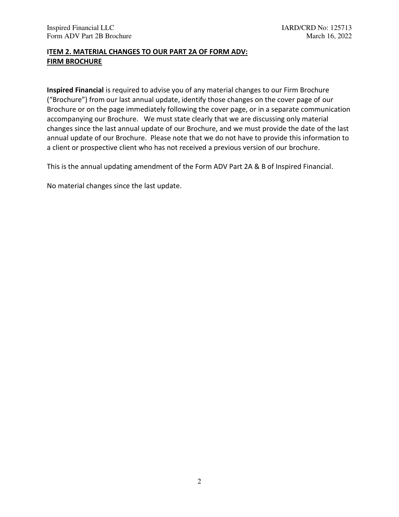## **ITEM 2. MATERIAL CHANGES TO OUR PART 2A OF FORM ADV: FIRM BROCHURE**

**Inspired Financial** is required to advise you of any material changes to our Firm Brochure ("Brochure") from our last annual update, identify those changes on the cover page of our Brochure or on the page immediately following the cover page, or in a separate communication accompanying our Brochure. We must state clearly that we are discussing only material changes since the last annual update of our Brochure, and we must provide the date of the last annual update of our Brochure. Please note that we do not have to provide this information to a client or prospective client who has not received a previous version of our brochure.

This is the annual updating amendment of the Form ADV Part 2A & B of Inspired Financial.

No material changes since the last update.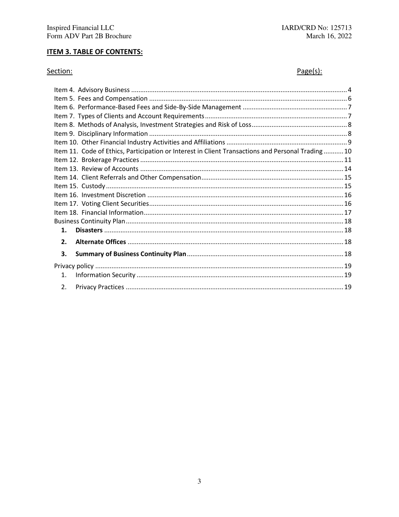# **ITEM 3. TABLE OF CONTENTS:**

## Section:

# $Page(s):$

<span id="page-4-0"></span>

| Item 11. Code of Ethics, Participation or Interest in Client Transactions and Personal Trading10 |  |
|--------------------------------------------------------------------------------------------------|--|
|                                                                                                  |  |
|                                                                                                  |  |
|                                                                                                  |  |
|                                                                                                  |  |
|                                                                                                  |  |
|                                                                                                  |  |
|                                                                                                  |  |
|                                                                                                  |  |
| 1.                                                                                               |  |
| $\overline{2}$ .                                                                                 |  |
| 3.                                                                                               |  |
|                                                                                                  |  |
| $\mathbf{1}$ .                                                                                   |  |
| $\overline{2}$ .                                                                                 |  |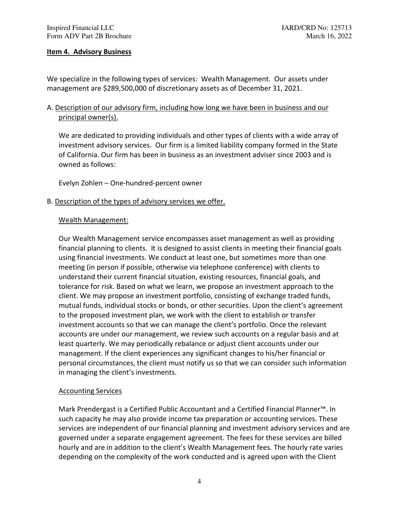### **Item 4. Advisory Business**

We specialize in the following types of services: Wealth Management. Our assets under management are \$289,500,000 of discretionary assets as of December 31, 2021.

# A. Description of our advisory firm, including how long we have been in business and our principal owner(s).

 We are dedicated to providing individuals and other types of clients with a wide array of investment advisory services. Our firm is a limited liability company formed in the State of California. Our firm has been in business as an investment adviser since 2003 and is owned as follows:

Evelyn Zohlen – One-hundred-percent owner

B. Description of the types of advisory services we offer.

### Wealth Management:

Our Wealth Management service encompasses asset management as well as providing financial planning to clients. It is designed to assist clients in meeting their financial goals using financial investments. We conduct at least one, but sometimes more than one meeting (in person if possible, otherwise via telephone conference) with clients to understand their current financial situation, existing resources, financial goals, and tolerance for risk. Based on what we learn, we propose an investment approach to the client. We may propose an investment portfolio, consisting of exchange traded funds, mutual funds, individual stocks or bonds, or other securities. Upon the client's agreement to the proposed investment plan, we work with the client to establish or transfer investment accounts so that we can manage the client's portfolio. Once the relevant accounts are under our management, we review such accounts on a regular basis and at least quarterly. We may periodically rebalance or adjust client accounts under our management. If the client experiences any significant changes to his/her financial or personal circumstances, the client must notify us so that we can consider such information in managing the client's investments.

#### Accounting Services

Mark Prendergast is a Certified Public Accountant and a Certified Financial Planner™. In such capacity he may also provide income tax preparation or accounting services. These services are independent of our financial planning and investment advisory services and are governed under a separate engagement agreement. The fees for these services are billed hourly and are in addition to the client's Wealth Management fees. The hourly rate varies depending on the complexity of the work conducted and is agreed upon with the Client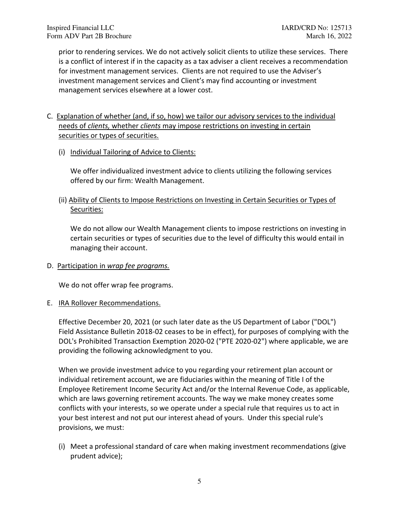prior to rendering services. We do not actively solicit clients to utilize these services. There is a conflict of interest if in the capacity as a tax adviser a client receives a recommendation for investment management services. Clients are not required to use the Adviser's investment management services and Client's may find accounting or investment management services elsewhere at a lower cost.

- C. Explanation of whether (and, if so, how) we tailor our advisory services to the individual needs of *clients,* whether *clients* may impose restrictions on investing in certain securities or types of securities.
	- (i) Individual Tailoring of Advice to Clients:

We offer individualized investment advice to clients utilizing the following services offered by our firm: Wealth Management.

(ii) Ability of Clients to Impose Restrictions on Investing in Certain Securities or Types of Securities:

We do not allow our Wealth Management clients to impose restrictions on investing in certain securities or types of securities due to the level of difficulty this would entail in managing their account.

D. Participation in *wrap fee programs.* 

We do not offer wrap fee programs.

E. IRA Rollover Recommendations.

Effective December 20, 2021 (or such later date as the US Department of Labor ("DOL") Field Assistance Bulletin 2018-02 ceases to be in effect), for purposes of complying with the DOL's Prohibited Transaction Exemption 2020-02 ("PTE 2020-02") where applicable, we are providing the following acknowledgment to you.

When we provide investment advice to you regarding your retirement plan account or individual retirement account, we are fiduciaries within the meaning of Title I of the Employee Retirement Income Security Act and/or the Internal Revenue Code, as applicable, which are laws governing retirement accounts. The way we make money creates some conflicts with your interests, so we operate under a special rule that requires us to act in your best interest and not put our interest ahead of yours. Under this special rule's provisions, we must:

(i) Meet a professional standard of care when making investment recommendations (give prudent advice);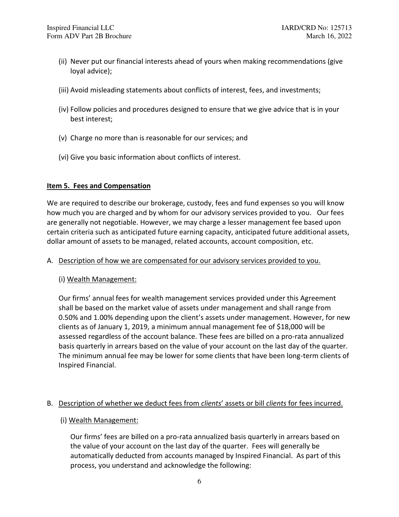- (ii) Never put our financial interests ahead of yours when making recommendations (give loyal advice);
- (iii) Avoid misleading statements about conflicts of interest, fees, and investments;
- (iv) Follow policies and procedures designed to ensure that we give advice that is in your best interest;
- (v) Charge no more than is reasonable for our services; and
- (vi) Give you basic information about conflicts of interest.

### <span id="page-7-0"></span>**Item 5. Fees and Compensation**

We are required to describe our brokerage, custody, fees and fund expenses so you will know how much you are charged and by whom for our advisory services provided to you. Our fees are generally not negotiable. However, we may charge a lesser management fee based upon certain criteria such as anticipated future earning capacity, anticipated future additional assets, dollar amount of assets to be managed, related accounts, account composition, etc.

### A. Description of how we are compensated for our advisory services provided to you.

### (i) Wealth Management:

Our firms' annual fees for wealth management services provided under this Agreement shall be based on the market value of assets under management and shall range from 0.50% and 1.00% depending upon the client's assets under management. However, for new clients as of January 1, 2019, a minimum annual management fee of \$18,000 will be assessed regardless of the account balance. These fees are billed on a pro-rata annualized basis quarterly in arrears based on the value of your account on the last day of the quarter. The minimum annual fee may be lower for some clients that have been long-term clients of Inspired Financial.

### B. Description of whether we deduct fees from *clients*' assets or bill *clients* for fees incurred.

### (i) Wealth Management:

Our firms' fees are billed on a pro-rata annualized basis quarterly in arrears based on the value of your account on the last day of the quarter. Fees will generally be automatically deducted from accounts managed by Inspired Financial. As part of this process, you understand and acknowledge the following: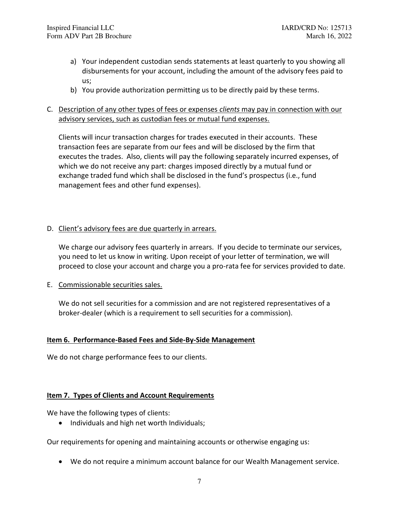- a) Your independent custodian sends statements at least quarterly to you showing all disbursements for your account, including the amount of the advisory fees paid to us;
- b) You provide authorization permitting us to be directly paid by these terms.

# C. Description of any other types of fees or expenses *clients* may pay in connection with our advisory services, such as custodian fees or mutual fund expenses.

Clients will incur transaction charges for trades executed in their accounts. These transaction fees are separate from our fees and will be disclosed by the firm that executes the trades. Also, clients will pay the following separately incurred expenses, of which we do not receive any part: charges imposed directly by a mutual fund or exchange traded fund which shall be disclosed in the fund's prospectus (i.e., fund management fees and other fund expenses).

### D. Client's advisory fees are due quarterly in arrears.

We charge our advisory fees quarterly in arrears. If you decide to terminate our services, you need to let us know in writing. Upon receipt of your letter of termination, we will proceed to close your account and charge you a pro-rata fee for services provided to date.

E. Commissionable securities sales.

We do not sell securities for a commission and are not registered representatives of a broker-dealer (which is a requirement to sell securities for a commission).

### <span id="page-8-0"></span>**Item 6. Performance-Based Fees and Side-By-Side Management**

We do not charge performance fees to our clients.

### <span id="page-8-1"></span>**Item 7. Types of Clients and Account Requirements**

We have the following types of clients:

• Individuals and high net worth Individuals;

Our requirements for opening and maintaining accounts or otherwise engaging us:

• We do not require a minimum account balance for our Wealth Management service.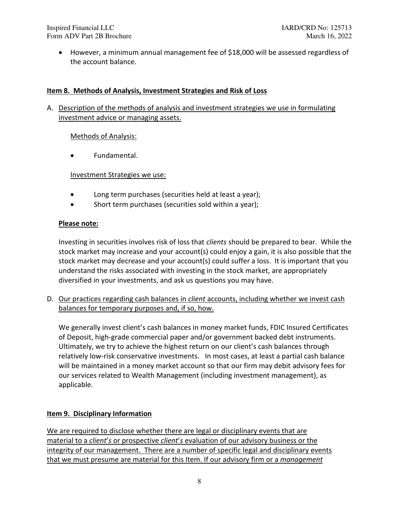• However, a minimum annual management fee of \$18,000 will be assessed regardless of the account balance.

# <span id="page-9-0"></span>**Item 8. Methods of Analysis, Investment Strategies and Risk of Loss**

A. Description of the methods of analysis and investment strategies we use in formulating investment advice or managing assets.

## Methods of Analysis:

• Fundamental.

Investment Strategies we use:

- Long term purchases (securities held at least a year);
- Short term purchases (securities sold within a year);

## **Please note:**

Investing in securities involves risk of loss that *clients* should be prepared to bear. While the stock market may increase and your account(s) could enjoy a gain, it is also possible that the stock market may decrease and your account(s) could suffer a loss. It is important that you understand the risks associated with investing in the stock market, are appropriately diversified in your investments, and ask us questions you may have.

D. Our practices regarding cash balances in *client* accounts, including whether we invest cash balances for temporary purposes and, if so, how.

We generally invest client's cash balances in money market funds, FDIC Insured Certificates of Deposit, high-grade commercial paper and/or government backed debt instruments. Ultimately, we try to achieve the highest return on our client's cash balances through relatively low-risk conservative investments. In most cases, at least a partial cash balance will be maintained in a money market account so that our firm may debit advisory fees for our services related to Wealth Management (including investment management), as applicable.

# <span id="page-9-1"></span>**Item 9. Disciplinary Information**

We are required to disclose whether there are legal or disciplinary events that are material to a *client*'*s* or prospective *client*'*s* evaluation of our advisory business or the integrity of our management. There are a number of specific legal and disciplinary events that we must presume are material for this Item. If our advisory firm or a *management*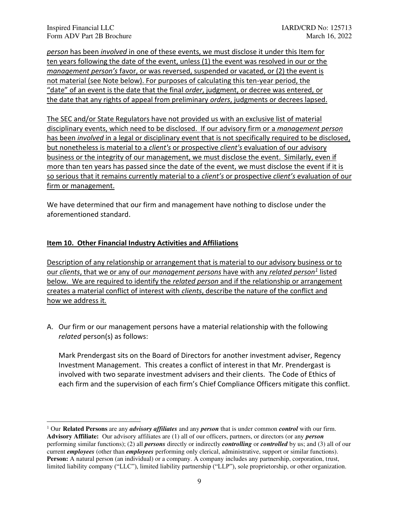*person* has been *involved* in one of these events, we must disclose it under this Item for ten years following the date of the event, unless (1) the event was resolved in our or the *management person's* favor, or was reversed, suspended or vacated, or (2) the event is not material (see Note below). For purposes of calculating this ten-year period, the "date" of an event is the date that the final *order*, judgment, or decree was entered, or the date that any rights of appeal from preliminary *orders*, judgments or decrees lapsed.

The SEC and/or State Regulators have not provided us with an exclusive list of material disciplinary events, which need to be disclosed. If our advisory firm or a *management person*  has been *involved* in a legal or disciplinary event that is not specifically required to be disclosed, but nonetheless is material to a *client's* or prospective *client's* evaluation of our advisory business or the integrity of our management, we must disclose the event. Similarly, even if more than ten years has passed since the date of the event, we must disclose the event if it is so serious that it remains currently material to a *client's* or prospective *client's* evaluation of our firm or management.

We have determined that our firm and management have nothing to disclose under the aforementioned standard.

## <span id="page-10-0"></span>**Item 10. Other Financial Industry Activities and Affiliations**

Description of any relationship or arrangement that is material to our advisory business or to our *clients*, that we or any of our *management persons* have with any *related person<sup>1</sup>* listed below. We are required to identify the *related person* and if the relationship or arrangement creates a material conflict of interest with *clients*, describe the nature of the conflict and how we address it*.* 

A. Our firm or our management persons have a material relationship with the following *related* person(s) as follows:

Mark Prendergast sits on the Board of Directors for another investment adviser, Regency Investment Management. This creates a conflict of interest in that Mr. Prendergast is involved with two separate investment advisers and their clients. The Code of Ethics of each firm and the supervision of each firm's Chief Compliance Officers mitigate this conflict.

<sup>1</sup> Our **Related Persons** are any *advisory affiliates* and any *person* that is under common *control* with our firm. **Advisory Affiliate:** Our advisory affiliates are (1) all of our officers, partners, or directors (or any *person*  performing similar functions); (2) all *persons* directly or indirectly *controlling* or *controlled* by us; and (3) all of our current *employees* (other than *employees* performing only clerical, administrative, support or similar functions). **Person:** A natural person (an individual) or a company. A company includes any partnership, corporation, trust, limited liability company ("LLC"), limited liability partnership ("LLP"), sole proprietorship, or other organization.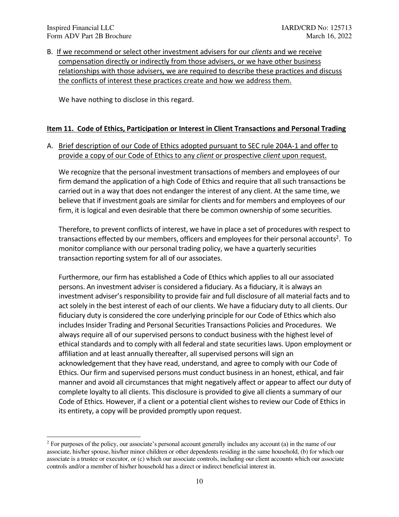B. If we recommend or select other investment advisers for our *clients* and we receive compensation directly or indirectly from those advisers, or we have other business relationships with those advisers, we are required to describe these practices and discuss the conflicts of interest these practices create and how we address them.

We have nothing to disclose in this regard.

### <span id="page-11-0"></span>**Item 11. Code of Ethics, Participation or Interest in Client Transactions and Personal Trading**

## A. Brief description of our Code of Ethics adopted pursuant to SEC rule 204A-1 and offer to provide a copy of our Code of Ethics to any *client* or prospective *client* upon request.

We recognize that the personal investment transactions of members and employees of our firm demand the application of a high Code of Ethics and require that all such transactions be carried out in a way that does not endanger the interest of any client. At the same time, we believe that if investment goals are similar for clients and for members and employees of our firm, it is logical and even desirable that there be common ownership of some securities.

Therefore, to prevent conflicts of interest, we have in place a set of procedures with respect to transactions effected by our members, officers and employees for their personal accounts<sup>2</sup>. To monitor compliance with our personal trading policy, we have a quarterly securities transaction reporting system for all of our associates.

Furthermore, our firm has established a Code of Ethics which applies to all our associated persons. An investment adviser is considered a fiduciary. As a fiduciary, it is always an investment adviser's responsibility to provide fair and full disclosure of all material facts and to act solely in the best interest of each of our clients. We have a fiduciary duty to all clients. Our fiduciary duty is considered the core underlying principle for our Code of Ethics which also includes Insider Trading and Personal Securities Transactions Policies and Procedures. We always require all of our supervised persons to conduct business with the highest level of ethical standards and to comply with all federal and state securities laws. Upon employment or affiliation and at least annually thereafter, all supervised persons will sign an acknowledgement that they have read, understand, and agree to comply with our Code of Ethics. Our firm and supervised persons must conduct business in an honest, ethical, and fair manner and avoid all circumstances that might negatively affect or appear to affect our duty of complete loyalty to all clients. This disclosure is provided to give all clients a summary of our Code of Ethics. However, if a client or a potential client wishes to review our Code of Ethics in its entirety, a copy will be provided promptly upon request.

<sup>2</sup> For purposes of the policy, our associate's personal account generally includes any account (a) in the name of our associate, his/her spouse, his/her minor children or other dependents residing in the same household, (b) for which our associate is a trustee or executor, or (c) which our associate controls, including our client accounts which our associate controls and/or a member of his/her household has a direct or indirect beneficial interest in.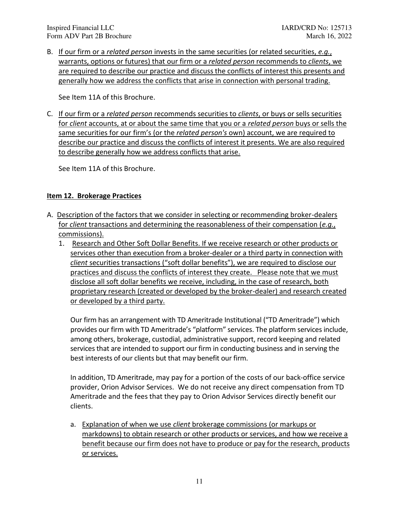B. If our firm or a *related person* invests in the same securities (or related securities, *e.g.*, warrants, options or futures) that our firm or a *related person* recommends to *clients*, we are required to describe our practice and discuss the conflicts of interest this presents and generally how we address the conflicts that arise in connection with personal trading.

See Item 11A of this Brochure.

C. If our firm or a *related person* recommends securities to *clients*, or buys or sells securities for *client* accounts, at or about the same time that you or a *related person* buys or sells the same securities for our firm's (or the *related person's* own) account, we are required to describe our practice and discuss the conflicts of interest it presents. We are also required to describe generally how we address conflicts that arise.

See Item 11A of this Brochure.

## <span id="page-12-0"></span>**Item 12. Brokerage Practices**

- A. Description of the factors that we consider in selecting or recommending broker-dealers for *client* transactions and determining the reasonableness of their compensation (*e.g.*, commissions).
	- 1. Research and Other Soft Dollar Benefits. If we receive research or other products or services other than execution from a broker-dealer or a third party in connection with *client* securities transactions ("soft dollar benefits"), we are required to disclose our practices and discuss the conflicts of interest they create. Please note that we must disclose all soft dollar benefits we receive, including, in the case of research, both proprietary research (created or developed by the broker-dealer) and research created or developed by a third party.

 Our firm has an arrangement with TD Ameritrade Institutional ("TD Ameritrade") which provides our firm with TD Ameritrade's "platform" services. The platform services include, among others, brokerage, custodial, administrative support, record keeping and related services that are intended to support our firm in conducting business and in serving the best interests of our clients but that may benefit our firm.

In addition, TD Ameritrade, may pay for a portion of the costs of our back-office service provider, Orion Advisor Services. We do not receive any direct compensation from TD Ameritrade and the fees that they pay to Orion Advisor Services directly benefit our clients.

a. Explanation of when we use *client* brokerage commissions (or markups or markdowns) to obtain research or other products or services, and how we receive a benefit because our firm does not have to produce or pay for the research, products or services.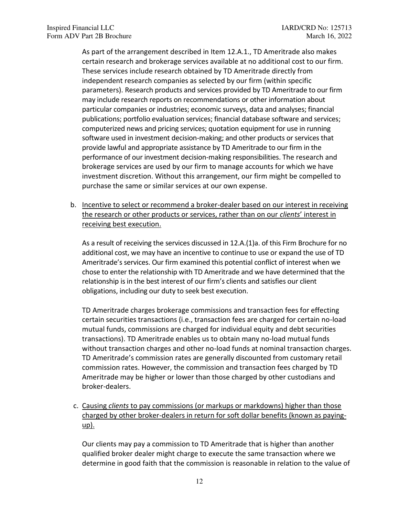As part of the arrangement described in Item 12.A.1., TD Ameritrade also makes certain research and brokerage services available at no additional cost to our firm. These services include research obtained by TD Ameritrade directly from independent research companies as selected by our firm (within specific parameters). Research products and services provided by TD Ameritrade to our firm may include research reports on recommendations or other information about particular companies or industries; economic surveys, data and analyses; financial publications; portfolio evaluation services; financial database software and services; computerized news and pricing services; quotation equipment for use in running software used in investment decision-making; and other products or services that provide lawful and appropriate assistance by TD Ameritrade to our firm in the performance of our investment decision-making responsibilities. The research and brokerage services are used by our firm to manage accounts for which we have investment discretion. Without this arrangement, our firm might be compelled to purchase the same or similar services at our own expense.

b. Incentive to select or recommend a broker-dealer based on our interest in receiving the research or other products or services, rather than on our *clients*' interest in receiving best execution.

 As a result of receiving the services discussed in 12.A.(1)a. of this Firm Brochure for no additional cost, we may have an incentive to continue to use or expand the use of TD Ameritrade's services. Our firm examined this potential conflict of interest when we chose to enter the relationship with TD Ameritrade and we have determined that the relationship is in the best interest of our firm's clients and satisfies our client obligations, including our duty to seek best execution.

 TD Ameritrade charges brokerage commissions and transaction fees for effecting certain securities transactions (i.e., transaction fees are charged for certain no-load mutual funds, commissions are charged for individual equity and debt securities transactions). TD Ameritrade enables us to obtain many no-load mutual funds without transaction charges and other no-load funds at nominal transaction charges. TD Ameritrade's commission rates are generally discounted from customary retail commission rates. However, the commission and transaction fees charged by TD Ameritrade may be higher or lower than those charged by other custodians and broker-dealers.

c. Causing *clients* to pay commissions (or markups or markdowns) higher than those charged by other broker-dealers in return for soft dollar benefits (known as payingup).

 Our clients may pay a commission to TD Ameritrade that is higher than another qualified broker dealer might charge to execute the same transaction where we determine in good faith that the commission is reasonable in relation to the value of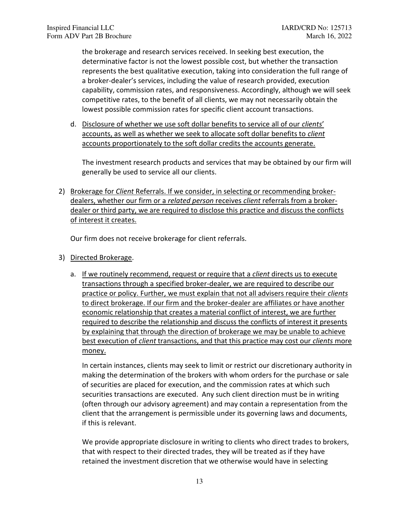the brokerage and research services received. In seeking best execution, the determinative factor is not the lowest possible cost, but whether the transaction represents the best qualitative execution, taking into consideration the full range of a broker-dealer's services, including the value of research provided, execution capability, commission rates, and responsiveness. Accordingly, although we will seek competitive rates, to the benefit of all clients, we may not necessarily obtain the lowest possible commission rates for specific client account transactions.

d. Disclosure of whether we use soft dollar benefits to service all of our *clients*' accounts, as well as whether we seek to allocate soft dollar benefits to *client*  accounts proportionately to the soft dollar credits the accounts generate.

The investment research products and services that may be obtained by our firm will generally be used to service all our clients.

2) Brokerage for *Client* Referrals. If we consider, in selecting or recommending brokerdealers, whether our firm or a *related person* receives *client* referrals from a brokerdealer or third party, we are required to disclose this practice and discuss the conflicts of interest it creates.

Our firm does not receive brokerage for client referrals.

- 3) Directed Brokerage.
	- a. If we routinely recommend, request or require that a *client* directs us to execute transactions through a specified broker-dealer, we are required to describe our practice or policy. Further, we must explain that not all advisers require their *clients*  to direct brokerage. If our firm and the broker-dealer are affiliates or have another economic relationship that creates a material conflict of interest, we are further required to describe the relationship and discuss the conflicts of interest it presents by explaining that through the direction of brokerage we may be unable to achieve best execution of *client* transactions, and that this practice may cost our *clients* more money.

In certain instances, clients may seek to limit or restrict our discretionary authority in making the determination of the brokers with whom orders for the purchase or sale of securities are placed for execution, and the commission rates at which such securities transactions are executed. Any such client direction must be in writing (often through our advisory agreement) and may contain a representation from the client that the arrangement is permissible under its governing laws and documents, if this is relevant.

We provide appropriate disclosure in writing to clients who direct trades to brokers, that with respect to their directed trades, they will be treated as if they have retained the investment discretion that we otherwise would have in selecting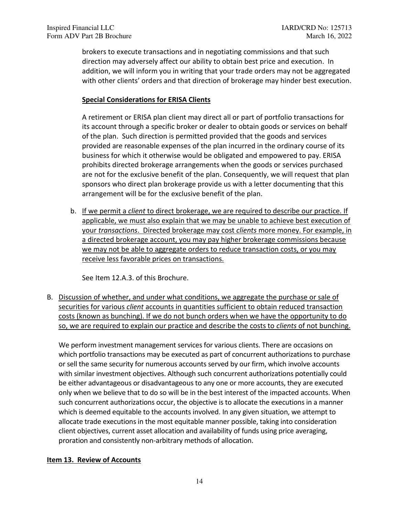brokers to execute transactions and in negotiating commissions and that such direction may adversely affect our ability to obtain best price and execution. In addition, we will inform you in writing that your trade orders may not be aggregated with other clients' orders and that direction of brokerage may hinder best execution.

## **Special Considerations for ERISA Clients**

A retirement or ERISA plan client may direct all or part of portfolio transactions for its account through a specific broker or dealer to obtain goods or services on behalf of the plan. Such direction is permitted provided that the goods and services provided are reasonable expenses of the plan incurred in the ordinary course of its business for which it otherwise would be obligated and empowered to pay. ERISA prohibits directed brokerage arrangements when the goods or services purchased are not for the exclusive benefit of the plan. Consequently, we will request that plan sponsors who direct plan brokerage provide us with a letter documenting that this arrangement will be for the exclusive benefit of the plan.

b. If we permit a *client* to direct brokerage, we are required to describe our practice. If applicable, we must also explain that we may be unable to achieve best execution of your *transactions*. Directed brokerage may cost *clients* more money. For example, in a directed brokerage account, you may pay higher brokerage commissions because we may not be able to aggregate orders to reduce transaction costs, or you may receive less favorable prices on transactions.

See Item 12.A.3. of this Brochure.

B. Discussion of whether, and under what conditions, we aggregate the purchase or sale of securities for various *client* accounts in quantities sufficient to obtain reduced transaction costs (known as bunching). If we do not bunch orders when we have the opportunity to do so, we are required to explain our practice and describe the costs to *clients* of not bunching.

We perform investment management services for various clients. There are occasions on which portfolio transactions may be executed as part of concurrent authorizations to purchase or sell the same security for numerous accounts served by our firm, which involve accounts with similar investment objectives. Although such concurrent authorizations potentially could be either advantageous or disadvantageous to any one or more accounts, they are executed only when we believe that to do so will be in the best interest of the impacted accounts. When such concurrent authorizations occur, the objective is to allocate the executions in a manner which is deemed equitable to the accounts involved. In any given situation, we attempt to allocate trade executions in the most equitable manner possible, taking into consideration client objectives, current asset allocation and availability of funds using price averaging, proration and consistently non-arbitrary methods of allocation.

### <span id="page-15-0"></span>**Item 13. Review of Accounts**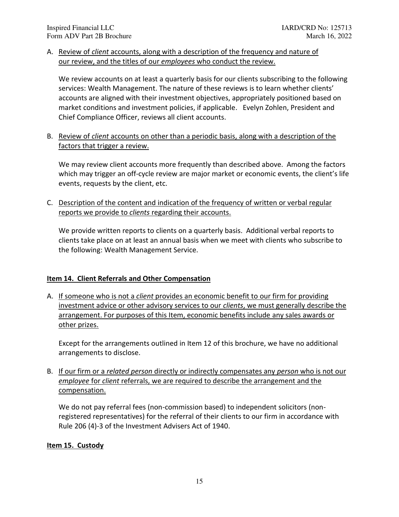A. Review of *client* accounts, along with a description of the frequency and nature of our review, and the titles of our *employees* who conduct the review.

We review accounts on at least a quarterly basis for our clients subscribing to the following services: Wealth Management. The nature of these reviews is to learn whether clients' accounts are aligned with their investment objectives, appropriately positioned based on market conditions and investment policies, if applicable. Evelyn Zohlen, President and Chief Compliance Officer, reviews all client accounts.

B. Review of *client* accounts on other than a periodic basis, along with a description of the factors that trigger a review.

We may review client accounts more frequently than described above. Among the factors which may trigger an off-cycle review are major market or economic events, the client's life events, requests by the client, etc.

C. Description of the content and indication of the frequency of written or verbal regular reports we provide to *clients* regarding their accounts.

We provide written reports to clients on a quarterly basis. Additional verbal reports to clients take place on at least an annual basis when we meet with clients who subscribe to the following: Wealth Management Service.

# <span id="page-16-0"></span>**Item 14. Client Referrals and Other Compensation**

A. If someone who is not a *client* provides an economic benefit to our firm for providing investment advice or other advisory services to our *clients*, we must generally describe the arrangement. For purposes of this Item, economic benefits include any sales awards or other prizes.

Except for the arrangements outlined in Item 12 of this brochure, we have no additional arrangements to disclose.

B. If our firm or a *related person* directly or indirectly compensates any *person* who is not our *employee* for *client* referrals, we are required to describe the arrangement and the compensation.

We do not pay referral fees (non-commission based) to independent solicitors (nonregistered representatives) for the referral of their clients to our firm in accordance with Rule 206 (4)-3 of the Investment Advisers Act of 1940.

# <span id="page-16-1"></span>**Item 15. Custody**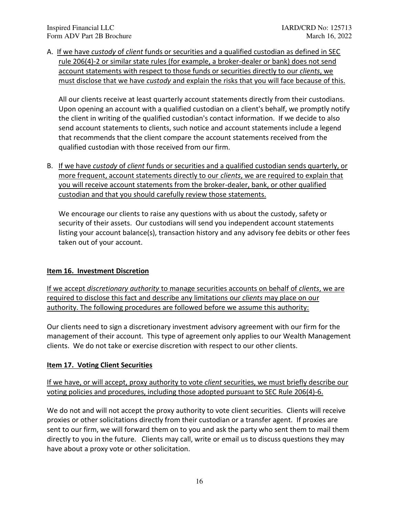A. If we have *custody* of *client* funds or securities and a qualified custodian as defined in SEC rule 206(4)-2 or similar state rules (for example, a broker-dealer or bank) does not send account statements with respect to those funds or securities directly to our *clients*, we must disclose that we have *custody* and explain the risks that you will face because of this.

All our clients receive at least quarterly account statements directly from their custodians. Upon opening an account with a qualified custodian on a client's behalf, we promptly notify the client in writing of the qualified custodian's contact information. If we decide to also send account statements to clients, such notice and account statements include a legend that recommends that the client compare the account statements received from the qualified custodian with those received from our firm.

B. If we have *custody* of *client* funds or securities and a qualified custodian sends quarterly, or more frequent, account statements directly to our *clients*, we are required to explain that you will receive account statements from the broker-dealer, bank, or other qualified custodian and that you should carefully review those statements.

We encourage our clients to raise any questions with us about the custody, safety or security of their assets. Our custodians will send you independent account statements listing your account balance(s), transaction history and any advisory fee debits or other fees taken out of your account.

# <span id="page-17-0"></span>**Item 16. Investment Discretion**

If we accept *discretionary authority* to manage securities accounts on behalf of *clients*, we are required to disclose this fact and describe any limitations our *clients* may place on our authority. The following procedures are followed before we assume this authority:

Our clients need to sign a discretionary investment advisory agreement with our firm for the management of their account. This type of agreement only applies to our Wealth Management clients. We do not take or exercise discretion with respect to our other clients.

# <span id="page-17-1"></span>**Item 17. Voting Client Securities**

If we have, or will accept, proxy authority to vote *client* securities, we must briefly describe our voting policies and procedures, including those adopted pursuant to SEC Rule 206(4)-6.

We do not and will not accept the proxy authority to vote client securities. Clients will receive proxies or other solicitations directly from their custodian or a transfer agent. If proxies are sent to our firm, we will forward them on to you and ask the party who sent them to mail them directly to you in the future. Clients may call, write or email us to discuss questions they may have about a proxy vote or other solicitation.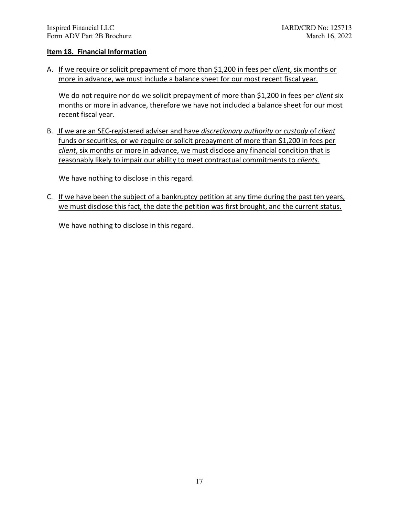### <span id="page-18-0"></span>**Item 18. Financial Information**

A. If we require or solicit prepayment of more than \$1,200 in fees per *client*, six months or more in advance, we must include a balance sheet for our most recent fiscal year.

We do not require nor do we solicit prepayment of more than \$1,200 in fees per *client* six months or more in advance, therefore we have not included a balance sheet for our most recent fiscal year.

B. If we are an SEC-registered adviser and have *discretionary authority* or *custody* of *client*  funds or securities, or we require or solicit prepayment of more than \$1,200 in fees per *client*, six months or more in advance, we must disclose any financial condition that is reasonably likely to impair our ability to meet contractual commitments to *clients*.

We have nothing to disclose in this regard.

C. If we have been the subject of a bankruptcy petition at any time during the past ten years, we must disclose this fact, the date the petition was first brought, and the current status.

We have nothing to disclose in this regard.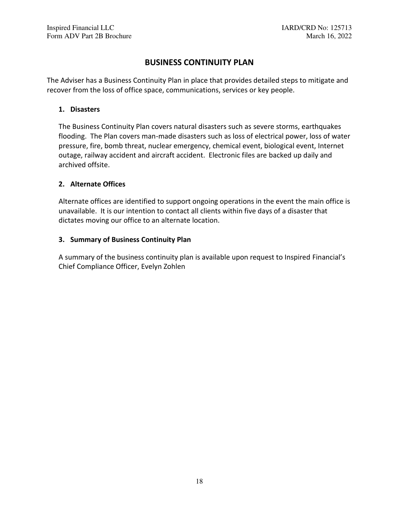# **BUSINESS CONTINUITY PLAN**

<span id="page-19-0"></span>The Adviser has a Business Continuity Plan in place that provides detailed steps to mitigate and recover from the loss of office space, communications, services or key people.

## <span id="page-19-1"></span>**1. Disasters**

The Business Continuity Plan covers natural disasters such as severe storms, earthquakes flooding. The Plan covers man-made disasters such as loss of electrical power, loss of water pressure, fire, bomb threat, nuclear emergency, chemical event, biological event, Internet outage, railway accident and aircraft accident. Electronic files are backed up daily and archived offsite.

## <span id="page-19-2"></span>**2. Alternate Offices**

Alternate offices are identified to support ongoing operations in the event the main office is unavailable. It is our intention to contact all clients within five days of a disaster that dictates moving our office to an alternate location.

## <span id="page-19-3"></span>**3. Summary of Business Continuity Plan**

A summary of the business continuity plan is available upon request to Inspired Financial's Chief Compliance Officer, Evelyn Zohlen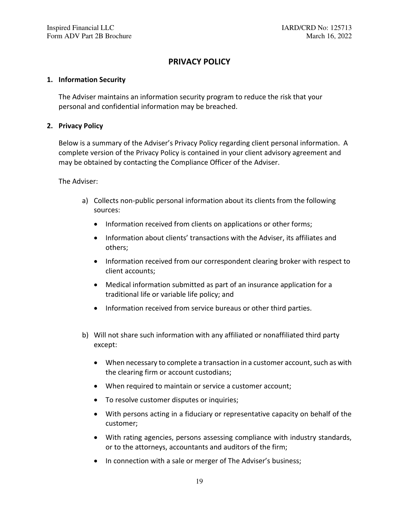# **PRIVACY POLICY**

### <span id="page-20-1"></span><span id="page-20-0"></span>**1. Information Security**

The Adviser maintains an information security program to reduce the risk that your personal and confidential information may be breached.

### <span id="page-20-2"></span>**2. Privacy Policy**

Below is a summary of the Adviser's Privacy Policy regarding client personal information. A complete version of the Privacy Policy is contained in your client advisory agreement and may be obtained by contacting the Compliance Officer of the Adviser.

The Adviser:

- a) Collects non-public personal information about its clients from the following sources:
	- Information received from clients on applications or other forms;
	- Information about clients' transactions with the Adviser, its affiliates and others;
	- Information received from our correspondent clearing broker with respect to client accounts;
	- Medical information submitted as part of an insurance application for a traditional life or variable life policy; and
	- Information received from service bureaus or other third parties.
- b) Will not share such information with any affiliated or nonaffiliated third party except:
	- When necessary to complete a transaction in a customer account, such as with the clearing firm or account custodians;
	- When required to maintain or service a customer account;
	- To resolve customer disputes or inquiries;
	- With persons acting in a fiduciary or representative capacity on behalf of the customer;
	- With rating agencies, persons assessing compliance with industry standards, or to the attorneys, accountants and auditors of the firm;
	- In connection with a sale or merger of The Adviser's business;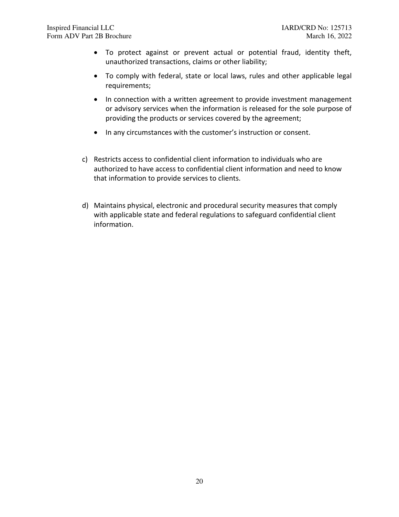- To protect against or prevent actual or potential fraud, identity theft, unauthorized transactions, claims or other liability;
- To comply with federal, state or local laws, rules and other applicable legal requirements;
- In connection with a written agreement to provide investment management or advisory services when the information is released for the sole purpose of providing the products or services covered by the agreement;
- In any circumstances with the customer's instruction or consent.
- c) Restricts access to confidential client information to individuals who are authorized to have access to confidential client information and need to know that information to provide services to clients.
- d) Maintains physical, electronic and procedural security measures that comply with applicable state and federal regulations to safeguard confidential client information.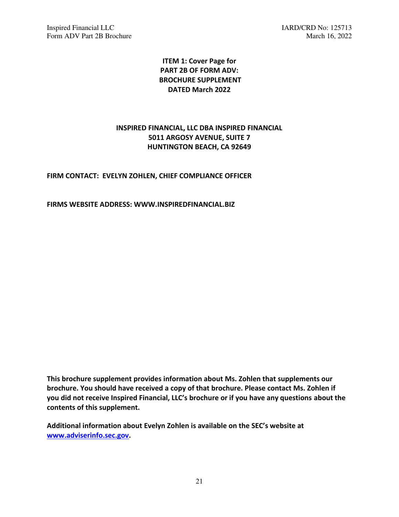IARD/CRD No: 125713<br>
Form ADV Part 2B Brochure March 16, 2022 Form ADV Part 2B Brochure

# **ITEM 1: Cover Page for PART 2B OF FORM ADV: BROCHURE SUPPLEMENT DATED March 2022**

# **INSPIRED FINANCIAL, LLC DBA INSPIRED FINANCIAL 5011 ARGOSY AVENUE, SUITE 7 HUNTINGTON BEACH, CA 92649**

## **FIRM CONTACT: EVELYN ZOHLEN, CHIEF COMPLIANCE OFFICER**

**FIRMS WEBSITE ADDRESS: WWW.INSPIREDFINANCIAL.BIZ** 

**This brochure supplement provides information about Ms. Zohlen that supplements our brochure. You should have received a copy of that brochure. Please contact Ms. Zohlen if you did not receive Inspired Financial, LLC's brochure or if you have any questions about the contents of this supplement.** 

**Additional information about Evelyn Zohlen is available on the SEC's website at [www.adviserinfo.sec.gov.](http://www.adviserinfo.sec.gov/)**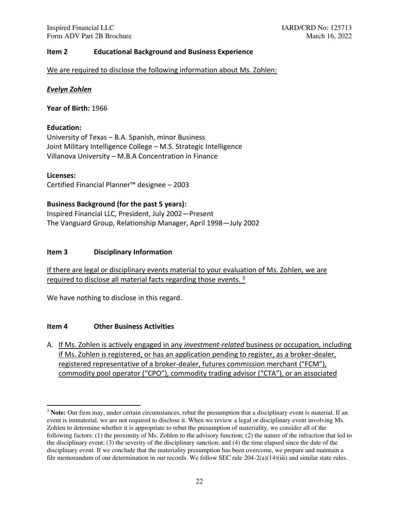### **Item 2 Educational Background and Business Experience**

We are required to disclose the following information about Ms. Zohlen:

### *Evelyn Zohlen*

**Year of Birth:** 1966

### **Education:**

University of Texas – B.A. Spanish, minor Business Joint Military Intelligence College – M.S. Strategic Intelligence Villanova University – M.B.A Concentration in Finance

**Licenses:** 

Certified Financial Planner™ designee – 2003

### **Business Background (for the past 5 years):**

Inspired Financial LLC, President, July 2002—Present The Vanguard Group, Relationship Manager, April 1998—July 2002

### **Item 3 Disciplinary Information**

If there are legal or disciplinary events material to your evaluation of Ms. Zohlen, we are required to disclose all material facts regarding those events. <sup>3</sup>

We have nothing to disclose in this regard.

### **Item 4 Other Business Activities**

A. If Ms. Zohlen is actively engaged in any *investment-related* business or occupation, including if Ms. Zohlen is registered, or has an application pending to register, as a broker-dealer, registered representative of a broker-dealer, futures commission merchant ("FCM"), commodity pool operator ("CPO"), commodity trading advisor ("CTA"), or an associated

<sup>&</sup>lt;sup>3</sup> Note: Our firm may, under certain circumstances, rebut the presumption that a disciplinary event is material. If an event is immaterial, we are not required to disclose it. When we review a legal or disciplinary event involving Ms. Zohlen to determine whether it is appropriate to rebut the presumption of materiality, we consider all of the following factors: (1) the proximity of Ms. Zohlen to the advisory function; (2) the nature of the infraction that led to the disciplinary event; (3) the severity of the disciplinary sanction; and (4) the time elapsed since the date of the disciplinary event. If we conclude that the materiality presumption has been overcome, we prepare and maintain a file memorandum of our determination in our records. We follow SEC rule 204-2(a)(14)(iii) and similar state rules.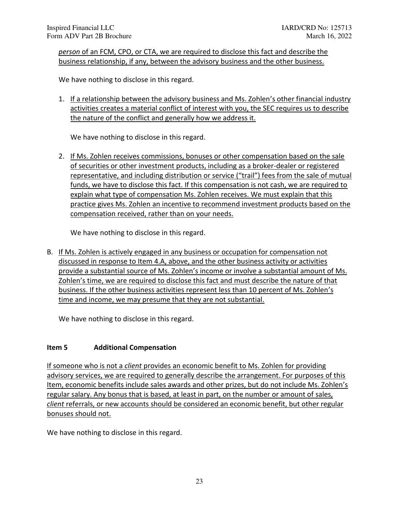*person* of an FCM, CPO, or CTA, we are required to disclose this fact and describe the business relationship, if any, between the advisory business and the other business.

We have nothing to disclose in this regard.

1. If a relationship between the advisory business and Ms. Zohlen's other financial industry activities creates a material conflict of interest with you, the SEC requires us to describe the nature of the conflict and generally how we address it.

We have nothing to disclose in this regard.

2. If Ms. Zohlen receives commissions, bonuses or other compensation based on the sale of securities or other investment products, including as a broker-dealer or registered representative, and including distribution or service ("trail") fees from the sale of mutual funds, we have to disclose this fact. If this compensation is not cash, we are required to explain what type of compensation Ms. Zohlen receives. We must explain that this practice gives Ms. Zohlen an incentive to recommend investment products based on the compensation received, rather than on your needs.

We have nothing to disclose in this regard.

B. If Ms. Zohlen is actively engaged in any business or occupation for compensation not discussed in response to Item 4.A, above, and the other business activity or activities provide a substantial source of Ms. Zohlen's income or involve a substantial amount of Ms. Zohlen's time, we are required to disclose this fact and must describe the nature of that business. If the other business activities represent less than 10 percent of Ms. Zohlen's time and income, we may presume that they are not substantial.

We have nothing to disclose in this regard.

### **Item 5 Additional Compensation**

If someone who is not a *client* provides an economic benefit to Ms. Zohlen for providing advisory services, we are required to generally describe the arrangement. For purposes of this Item, economic benefits include sales awards and other prizes, but do not include Ms. Zohlen's regular salary. Any bonus that is based, at least in part, on the number or amount of sales, *client* referrals, or new accounts should be considered an economic benefit, but other regular bonuses should not.

We have nothing to disclose in this regard.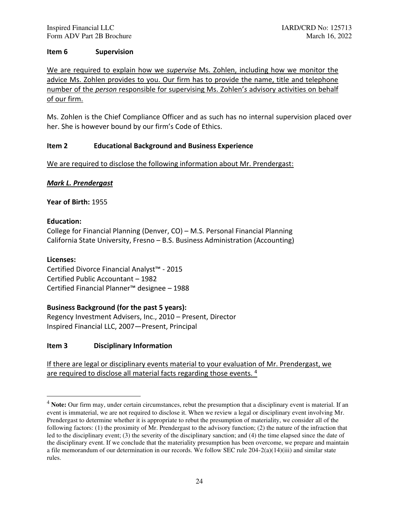### **Item 6 Supervision**

We are required to explain how we *supervise* Ms. Zohlen, including how we monitor the advice Ms. Zohlen provides to you. Our firm has to provide the name, title and telephone number of the *person* responsible for supervising Ms. Zohlen'*s* advisory activities on behalf of our firm.

Ms. Zohlen is the Chief Compliance Officer and as such has no internal supervision placed over her. She is however bound by our firm's Code of Ethics.

### **Item 2 Educational Background and Business Experience**

We are required to disclose the following information about Mr. Prendergast:

## *Mark L. Prendergast*

**Year of Birth:** 1955

## **Education:**

College for Financial Planning (Denver, CO) – M.S. Personal Financial Planning California State University, Fresno – B.S. Business Administration (Accounting)

### **Licenses:**

Certified Divorce Financial Analyst™ - 2015 Certified Public Accountant – 1982 Certified Financial Planner™ designee – 1988

# **Business Background (for the past 5 years):**

Regency Investment Advisers, Inc., 2010 – Present, Director Inspired Financial LLC, 2007—Present, Principal

# **Item 3 Disciplinary Information**

If there are legal or disciplinary events material to your evaluation of Mr. Prendergast, we are required to disclose all material facts regarding those events. <sup>4</sup>

<sup>&</sup>lt;sup>4</sup> **Note:** Our firm may, under certain circumstances, rebut the presumption that a disciplinary event is material. If an event is immaterial, we are not required to disclose it. When we review a legal or disciplinary event involving Mr. Prendergast to determine whether it is appropriate to rebut the presumption of materiality, we consider all of the following factors: (1) the proximity of Mr. Prendergast to the advisory function; (2) the nature of the infraction that led to the disciplinary event; (3) the severity of the disciplinary sanction; and (4) the time elapsed since the date of the disciplinary event. If we conclude that the materiality presumption has been overcome, we prepare and maintain a file memorandum of our determination in our records. We follow SEC rule 204-2(a)(14)(iii) and similar state rules.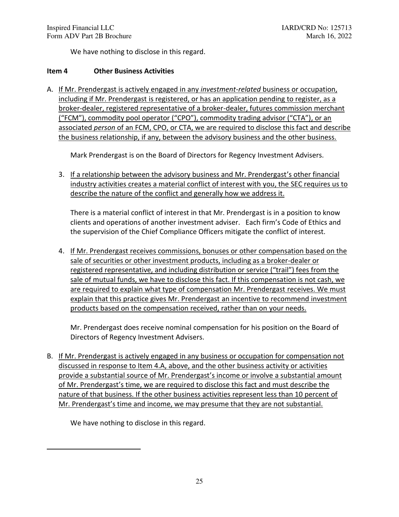We have nothing to disclose in this regard.

### **Item 4 Other Business Activities**

A. If Mr. Prendergast is actively engaged in any *investment-related* business or occupation, including if Mr. Prendergast is registered, or has an application pending to register, as a broker-dealer, registered representative of a broker-dealer, futures commission merchant ("FCM"), commodity pool operator ("CPO"), commodity trading advisor ("CTA"), or an associated *person* of an FCM, CPO, or CTA, we are required to disclose this fact and describe the business relationship, if any, between the advisory business and the other business.

Mark Prendergast is on the Board of Directors for Regency Investment Advisers.

3. If a relationship between the advisory business and Mr. Prendergast's other financial industry activities creates a material conflict of interest with you, the SEC requires us to describe the nature of the conflict and generally how we address it.

There is a material conflict of interest in that Mr. Prendergast is in a position to know clients and operations of another investment adviser. Each firm's Code of Ethics and the supervision of the Chief Compliance Officers mitigate the conflict of interest.

4. If Mr. Prendergast receives commissions, bonuses or other compensation based on the sale of securities or other investment products, including as a broker-dealer or registered representative, and including distribution or service ("trail") fees from the sale of mutual funds, we have to disclose this fact. If this compensation is not cash, we are required to explain what type of compensation Mr. Prendergast receives. We must explain that this practice gives Mr. Prendergast an incentive to recommend investment products based on the compensation received, rather than on your needs.

Mr. Prendergast does receive nominal compensation for his position on the Board of Directors of Regency Investment Advisers.

B. If Mr. Prendergast is actively engaged in any business or occupation for compensation not discussed in response to Item 4.A, above, and the other business activity or activities provide a substantial source of Mr. Prendergast's income or involve a substantial amount of Mr. Prendergast's time, we are required to disclose this fact and must describe the nature of that business. If the other business activities represent less than 10 percent of Mr. Prendergast's time and income, we may presume that they are not substantial.

We have nothing to disclose in this regard.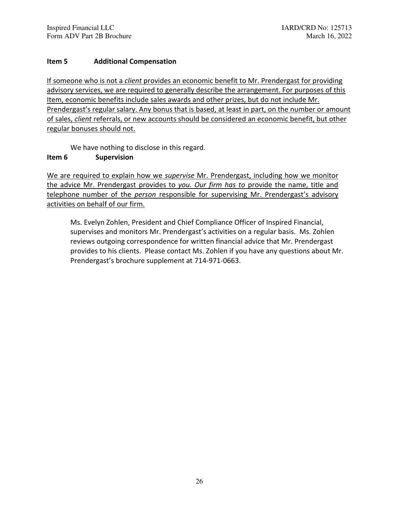## **Item 5 Additional Compensation**

If someone who is not a *client* provides an economic benefit to Mr. Prendergast for providing advisory services, we are required to generally describe the arrangement. For purposes of this Item, economic benefits include sales awards and other prizes, but do not include Mr. Prendergast's regular salary. Any bonus that is based, at least in part, on the number or amount of sales, *client* referrals, or new accounts should be considered an economic benefit, but other regular bonuses should not.

We have nothing to disclose in this regard.

## **Item 6 Supervision**

We are required to explain how we *supervise* Mr. Prendergast, including how we monitor the advice Mr. Prendergast provides to *you. Our firm has to* provide the name, title and telephone number of the *person* responsible for supervising Mr. Prendergast's advisory activities on behalf of our firm.

Ms. Evelyn Zohlen, President and Chief Compliance Officer of Inspired Financial, supervises and monitors Mr. Prendergast's activities on a regular basis. Ms. Zohlen reviews outgoing correspondence for written financial advice that Mr. Prendergast provides to his clients. Please contact Ms. Zohlen if you have any questions about Mr. Prendergast's brochure supplement at 714-971-0663.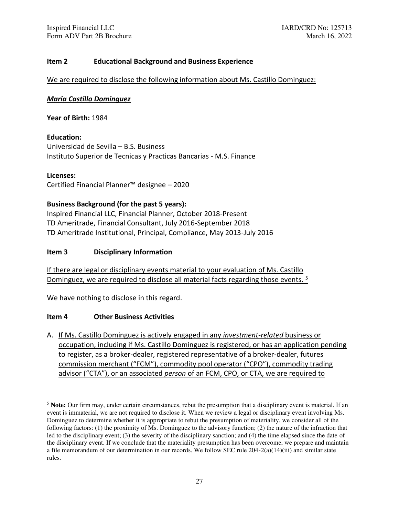### **Item 2 Educational Background and Business Experience**

We are required to disclose the following information about Ms. Castillo Dominguez:

### *Maria Castillo Dominguez*

**Year of Birth:** 1984

**Education:**  Universidad de Sevilla – B.S. Business Instituto Superior de Tecnicas y Practicas Bancarias - M.S. Finance

**Licenses:**  Certified Financial Planner™ designee – 2020

### **Business Background (for the past 5 years):**

Inspired Financial LLC, Financial Planner, October 2018-Present TD Ameritrade, Financial Consultant, July 2016-September 2018 TD Ameritrade Institutional, Principal, Compliance, May 2013-July 2016

### **Item 3 Disciplinary Information**

If there are legal or disciplinary events material to your evaluation of Ms. Castillo Dominguez, we are required to disclose all material facts regarding those events.<sup>5</sup>

We have nothing to disclose in this regard.

### **Item 4 Other Business Activities**

A. If Ms. Castillo Dominguez is actively engaged in any *investment-related* business or occupation, including if Ms. Castillo Dominguez is registered, or has an application pending to register, as a broker-dealer, registered representative of a broker-dealer, futures commission merchant ("FCM"), commodity pool operator ("CPO"), commodity trading advisor ("CTA"), or an associated *person* of an FCM, CPO, or CTA, we are required to

<sup>5</sup> **Note:** Our firm may, under certain circumstances, rebut the presumption that a disciplinary event is material. If an event is immaterial, we are not required to disclose it. When we review a legal or disciplinary event involving Ms. Dominguez to determine whether it is appropriate to rebut the presumption of materiality, we consider all of the following factors: (1) the proximity of Ms. Dominguez to the advisory function; (2) the nature of the infraction that led to the disciplinary event; (3) the severity of the disciplinary sanction; and (4) the time elapsed since the date of the disciplinary event. If we conclude that the materiality presumption has been overcome, we prepare and maintain a file memorandum of our determination in our records. We follow SEC rule 204-2(a)(14)(iii) and similar state rules.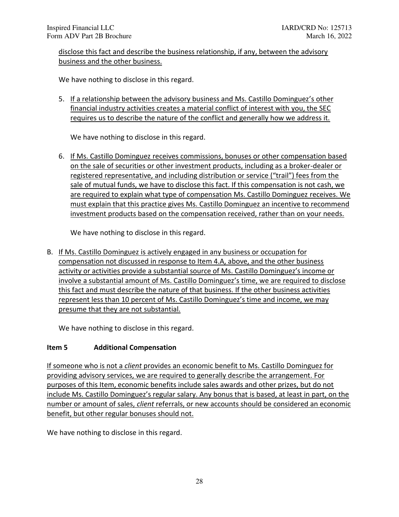disclose this fact and describe the business relationship, if any, between the advisory business and the other business.

We have nothing to disclose in this regard.

5. If a relationship between the advisory business and Ms. Castillo Dominguez's other financial industry activities creates a material conflict of interest with you, the SEC requires us to describe the nature of the conflict and generally how we address it.

We have nothing to disclose in this regard.

6. If Ms. Castillo Dominguez receives commissions, bonuses or other compensation based on the sale of securities or other investment products, including as a broker-dealer or registered representative, and including distribution or service ("trail") fees from the sale of mutual funds, we have to disclose this fact. If this compensation is not cash, we are required to explain what type of compensation Ms. Castillo Dominguez receives. We must explain that this practice gives Ms. Castillo Dominguez an incentive to recommend investment products based on the compensation received, rather than on your needs.

We have nothing to disclose in this regard.

B. If Ms. Castillo Dominguez is actively engaged in any business or occupation for compensation not discussed in response to Item 4.A, above, and the other business activity or activities provide a substantial source of Ms. Castillo Dominguez's income or involve a substantial amount of Ms. Castillo Dominguez's time, we are required to disclose this fact and must describe the nature of that business. If the other business activities represent less than 10 percent of Ms. Castillo Dominguez's time and income, we may presume that they are not substantial.

We have nothing to disclose in this regard.

# **Item 5 Additional Compensation**

If someone who is not a *client* provides an economic benefit to Ms. Castillo Dominguez for providing advisory services, we are required to generally describe the arrangement. For purposes of this Item, economic benefits include sales awards and other prizes, but do not include Ms. Castillo Dominguez's regular salary. Any bonus that is based, at least in part, on the number or amount of sales, *client* referrals, or new accounts should be considered an economic benefit, but other regular bonuses should not.

We have nothing to disclose in this regard.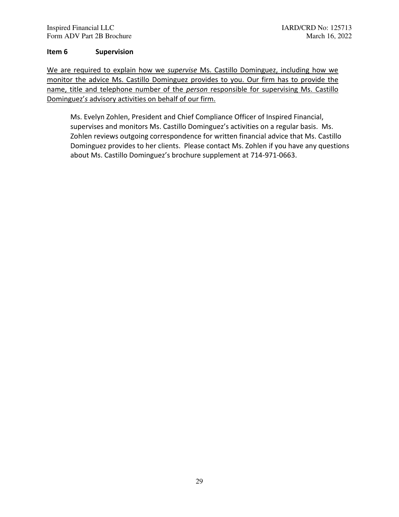### **Item 6 Supervision**

We are required to explain how we *supervise* Ms. Castillo Dominguez, including how we monitor the advice Ms. Castillo Dominguez provides to you. Our firm has to provide the name, title and telephone number of the *person* responsible for supervising Ms. Castillo Dominguez'*s* advisory activities on behalf of our firm.

Ms. Evelyn Zohlen, President and Chief Compliance Officer of Inspired Financial, supervises and monitors Ms. Castillo Dominguez's activities on a regular basis. Ms. Zohlen reviews outgoing correspondence for written financial advice that Ms. Castillo Dominguez provides to her clients. Please contact Ms. Zohlen if you have any questions about Ms. Castillo Dominguez's brochure supplement at 714-971-0663.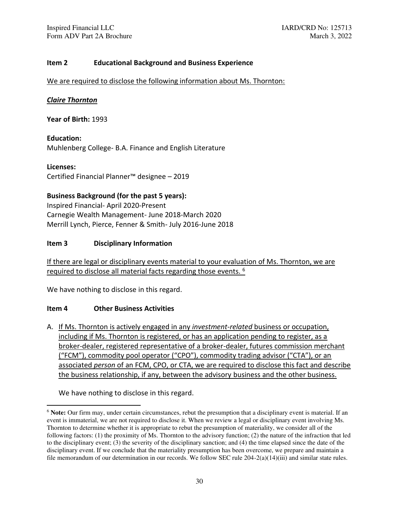### **Item 2 Educational Background and Business Experience**

We are required to disclose the following information about Ms. Thornton:

### *Claire Thornton*

**Year of Birth:** 1993

**Education:**  Muhlenberg College- B.A. Finance and English Literature

**Licenses:**  Certified Financial Planner™ designee – 2019

# **Business Background (for the past 5 years):**

Inspired Financial- April 2020-Present Carnegie Wealth Management- June 2018-March 2020 Merrill Lynch, Pierce, Fenner & Smith- July 2016-June 2018

### **Item 3 Disciplinary Information**

If there are legal or disciplinary events material to your evaluation of Ms. Thornton, we are required to disclose all material facts regarding those events. <sup>6</sup>

We have nothing to disclose in this regard.

### **Item 4 Other Business Activities**

A. If Ms. Thornton is actively engaged in any *investment-related* business or occupation, including if Ms. Thornton is registered, or has an application pending to register, as a broker-dealer, registered representative of a broker-dealer, futures commission merchant ("FCM"), commodity pool operator ("CPO"), commodity trading advisor ("CTA"), or an associated *person* of an FCM, CPO, or CTA, we are required to disclose this fact and describe the business relationship, if any, between the advisory business and the other business.

We have nothing to disclose in this regard.

<sup>6</sup> **Note:** Our firm may, under certain circumstances, rebut the presumption that a disciplinary event is material. If an event is immaterial, we are not required to disclose it. When we review a legal or disciplinary event involving Ms. Thornton to determine whether it is appropriate to rebut the presumption of materiality, we consider all of the following factors: (1) the proximity of Ms. Thornton to the advisory function; (2) the nature of the infraction that led to the disciplinary event; (3) the severity of the disciplinary sanction; and (4) the time elapsed since the date of the disciplinary event. If we conclude that the materiality presumption has been overcome, we prepare and maintain a file memorandum of our determination in our records. We follow SEC rule 204-2(a)(14)(iii) and similar state rules.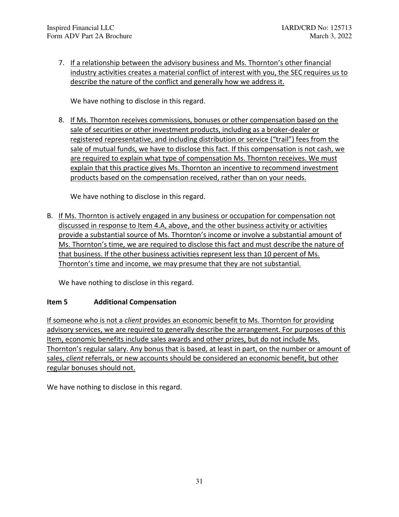7. If a relationship between the advisory business and Ms. Thornton's other financial industry activities creates a material conflict of interest with you, the SEC requires us to describe the nature of the conflict and generally how we address it.

We have nothing to disclose in this regard.

8. If Ms. Thornton receives commissions, bonuses or other compensation based on the sale of securities or other investment products, including as a broker-dealer or registered representative, and including distribution or service ("trail") fees from the sale of mutual funds, we have to disclose this fact. If this compensation is not cash, we are required to explain what type of compensation Ms. Thornton receives. We must explain that this practice gives Ms. Thornton an incentive to recommend investment products based on the compensation received, rather than on your needs.

We have nothing to disclose in this regard.

B. If Ms. Thornton is actively engaged in any business or occupation for compensation not discussed in response to Item 4.A, above, and the other business activity or activities provide a substantial source of Ms. Thornton's income or involve a substantial amount of Ms. Thornton's time, we are required to disclose this fact and must describe the nature of that business. If the other business activities represent less than 10 percent of Ms. Thornton's time and income, we may presume that they are not substantial.

We have nothing to disclose in this regard.

# **Item 5 Additional Compensation**

If someone who is not a *client* provides an economic benefit to Ms. Thornton for providing advisory services, we are required to generally describe the arrangement. For purposes of this Item, economic benefits include sales awards and other prizes, but do not include Ms. Thornton's regular salary. Any bonus that is based, at least in part, on the number or amount of sales, *client* referrals, or new accounts should be considered an economic benefit, but other regular bonuses should not.

We have nothing to disclose in this regard.